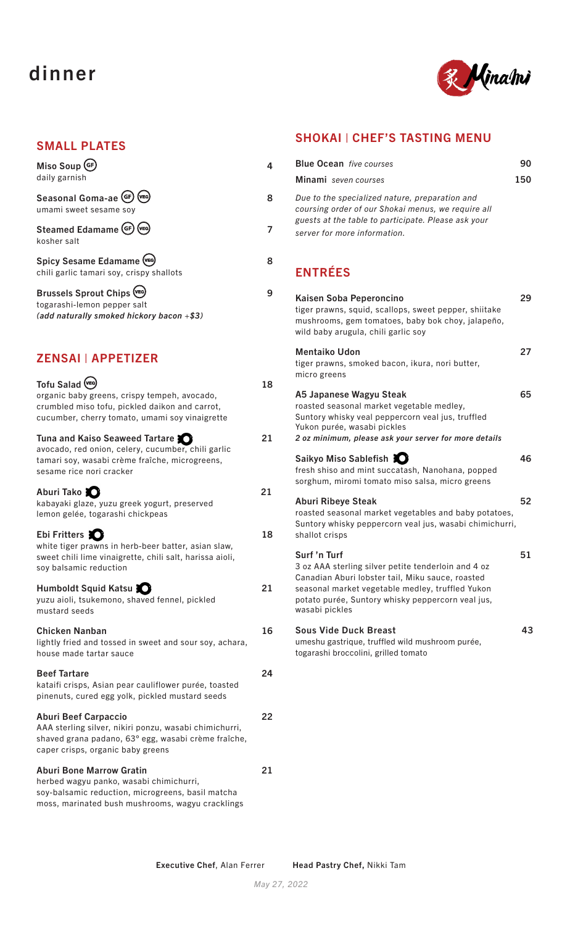# dinner



#### SMALL PLATES

| Miso Soup GF<br>daily garnish                                                                              |   |
|------------------------------------------------------------------------------------------------------------|---|
| Seasonal Goma-ae (GF)<br>(VEG)<br>umami sweet sesame soy                                                   | 8 |
| Steamed Edamame (GF)<br>$(v_{EG})$<br>kosher salt                                                          |   |
| Spicy Sesame Edamame (VEG)<br>chili garlic tamari soy, crispy shallots                                     | 8 |
| Brussels Sprout Chips (VEG)<br>togarashi-lemon pepper salt<br>(add naturally smoked hickory bacon $+$ \$3) | 9 |

### ZENSAI | APPETIZER

| Tofu Salad (VEG)<br>organic baby greens, crispy tempeh, avocado,<br>crumbled miso tofu, pickled daikon and carrot,<br>cucumber, cherry tomato, umami soy vinaigrette                | 18 |
|-------------------------------------------------------------------------------------------------------------------------------------------------------------------------------------|----|
| Tuna and Kaiso Seaweed Tartare<br>avocado, red onion, celery, cucumber, chili garlic<br>tamari soy, wasabi crème fraîche, microgreens,<br>sesame rice nori cracker                  | 21 |
| Aburi Tako<br>kabayaki glaze, yuzu greek yogurt, preserved<br>lemon gelée, togarashi chickpeas                                                                                      | 21 |
| Ebi Fritters<br>white tiger prawns in herb-beer batter, asian slaw,<br>sweet chili lime vinaigrette, chili salt, harissa aioli,<br>soy balsamic reduction                           | 18 |
| Humboldt Squid Katsu<br>yuzu aioli, tsukemono, shaved fennel, pickled<br>mustard seeds                                                                                              | 21 |
| <b>Chicken Nanban</b><br>lightly fried and tossed in sweet and sour soy, achara,<br>house made tartar sauce                                                                         | 16 |
| <b>Beef Tartare</b><br>kataifi crisps, Asian pear cauliflower purée, toasted<br>pinenuts, cured egg yolk, pickled mustard seeds                                                     | 24 |
| <b>Aburi Beef Carpaccio</b><br>AAA sterling silver, nikiri ponzu, wasabi chimichurri,<br>shaved grana padano, 63° egg, wasabi crème fraîche,<br>caper crisps, organic baby greens   | 22 |
| <b>Aburi Bone Marrow Gratin</b><br>herbed wagyu panko, wasabi chimichurri,<br>soy-balsamic reduction, microgreens, basil matcha<br>moss, marinated bush mushrooms, wagyu cracklings | 21 |

### SHOKAI | CHEF'S TASTING MENU

| <b>Blue Ocean</b> five courses                                                                                                                                                                                                                     | 90  |
|----------------------------------------------------------------------------------------------------------------------------------------------------------------------------------------------------------------------------------------------------|-----|
| Minami seven courses                                                                                                                                                                                                                               | 150 |
| Due to the specialized nature, preparation and<br>coursing order of our Shokai menus, we require all<br>guests at the table to participate. Please ask your<br>server for more information.                                                        |     |
| <b>ENTRÉES</b>                                                                                                                                                                                                                                     |     |
| Kaisen Soba Peperoncino<br>tiger prawns, squid, scallops, sweet pepper, shiitake<br>mushrooms, gem tomatoes, baby bok choy, jalapeño,<br>wild baby arugula, chili garlic soy                                                                       | 29  |
| <b>Mentaiko Udon</b><br>tiger prawns, smoked bacon, ikura, nori butter,<br>micro greens                                                                                                                                                            | 27  |
| A5 Japanese Wagyu Steak<br>roasted seasonal market vegetable medley,<br>Suntory whisky veal peppercorn veal jus, truffled<br>Yukon purée, wasabi pickles<br>2 oz minimum, please ask your server for more details                                  | 65  |
| Saikyo Miso Sablefish 30<br>fresh shiso and mint succatash, Nanohana, popped<br>sorghum, miromi tomato miso salsa, micro greens                                                                                                                    | 46  |
| <b>Aburi Ribeye Steak</b><br>roasted seasonal market vegetables and baby potatoes,<br>Suntory whisky peppercorn veal jus, wasabi chimichurri,<br>shallot crisps                                                                                    | 52  |
| Surf 'n Turf<br>3 oz AAA sterling silver petite tenderloin and 4 oz<br>Canadian Aburi lobster tail, Miku sauce, roasted<br>seasonal market vegetable medley, truffled Yukon<br>potato purée, Suntory whisky peppercorn veal jus,<br>wasabi pickles | 51  |
| <b>Sous Vide Duck Breast</b><br>umeshu gastrique, truffled wild mushroom purée,                                                                                                                                                                    | 43  |